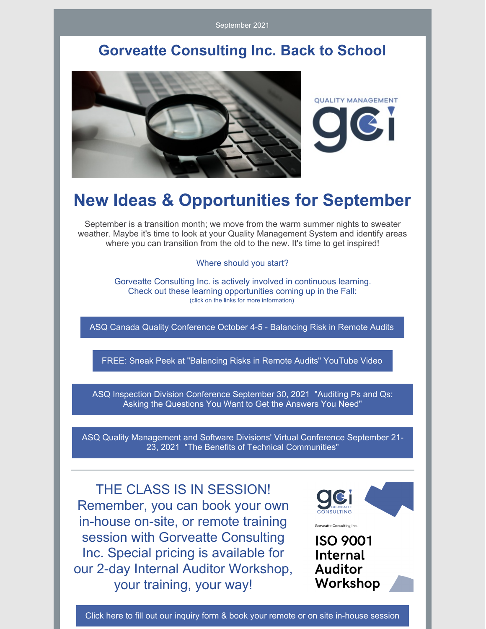September 2021

## **Gorveatte Consulting Inc. Back to School**



# **New Ideas & Opportunities for September**

September is a transition month; we move from the warm summer nights to sweater weather. Maybe it's time to look at your Quality Management System and identify areas where you can transition from the old to the new. It's time to get inspired!

Where should you start?

Gorveatte Consulting Inc. is actively involved in continuous learning. Check out these learning opportunities coming up in the Fall: (click on the links for more information)

ASQ Canada Quality [Conference](https://en.asqcanadaconference.com/) October 4-5 - Balancing Risk in Remote Audits

FREE: Sneak Peek at ["Balancing](https://www.youtube.com/watch?v=Olw7hg-UdYs) Risks in Remote Audits" YouTube Video

ASQ Inspection Division [Conference](https://asq.org/conferences/inspection-division) September 30, 2021 "Auditing Ps and Qs: Asking the Questions You Want to Get the Answers You Need"

ASQ Quality [Management](https://events.eply.com/VirtualQMSFD) and Software Divisions' Virtual Conference September 21- 23, 2021 "The Benefits of Technical Communities"

THE CLASS IS IN SESSION! Remember, you can book your own in-house on-site, or remote training session with Gorveatte Consulting Inc. Special pricing is available for our 2-day Internal Auditor Workshop, your training, your way!



**ISO 9001 Internal Auditor** Workshop

Gorveatte Consulting Inc.

Click here to fill out our inquiry form & book your remote or on site [in-house](https://www.gorveatteconsulting.com/training.html) session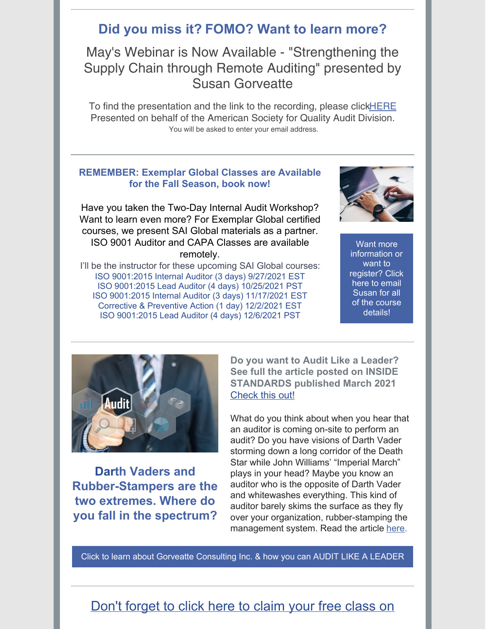### **Did you miss it? FOMO? Want to learn more?**

May's Webinar is Now Available - "Strengthening the Supply Chain through Remote Auditing" presented by Susan Gorveatte

To find the presentation and the link to the recording, please click**HERE** Presented on behalf of the American Society for Quality Audit Division. You will be asked to enter your email address.

#### **REMEMBER: Exemplar Global Classes are Available for the Fall Season, book now!**

Have you taken the Two-Day Internal Audit Workshop? Want to learn even more? For Exemplar Global certified courses, we present SAI Global materials as a partner. ISO 9001 Auditor and CAPA Classes are available remotely.

I'll be the instructor for these upcoming SAI Global courses: ISO 9001:2015 Internal Auditor (3 days) 9/27/2021 EST ISO 9001:2015 Lead Auditor (4 days) 10/25/2021 PST ISO 9001:2015 Internal Auditor (3 days) 11/17/2021 EST Corrective & Preventive Action (1 day) 12/2/2021 EST ISO 9001:2015 Lead Auditor (4 days) 12/6/2021 PST



Want more [information](mailto:susan@gorveatteconsulting.com) or want to register? Click here to email Susan for all of the course details!



**Darth Vaders and Rubber-Stampers are the two extremes. Where do you fall in the spectrum?**

**Do you want to Audit Like a Leader? See full the article posted on INSIDE STANDARDS published March 2021** [Check](https://insidestandards.com/audit-like-a-leader/) this out!

What do you think about when you hear that an auditor is coming on-site to perform an audit? Do you have visions of Darth Vader storming down a long corridor of the Death Star while John Williams' "Imperial March" plays in your head? Maybe you know an auditor who is the opposite of Darth Vader and whitewashes everything. This kind of auditor barely skims the surface as they fly over your organization, rubber-stamping the management system. Read the article [here](https://insidestandards.com/audit-like-a-leader/).

Click to learn about Gorveatte [Consulting](https://www.gorveatteconsulting.com) Inc. & how you can AUDIT LIKE A LEADER

#### Don't [forget](https://www.innovationtrainer.com/a/45725/eSzfFR6p) to click here to claim your free class on